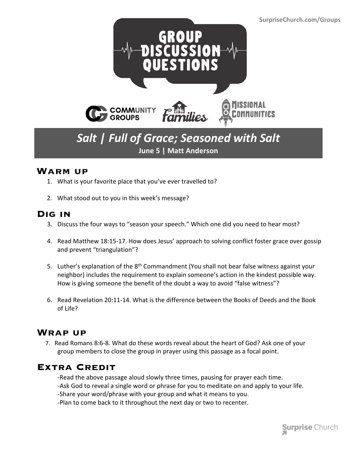

## *Salt | Full of Grace; Seasoned with Salt* **June 5 | Matt Anderson**

#### **Warm up**

- 1. What is your favorite place that you've ever travelled to?
- 2. What stood out to you in this week's message?

#### **Dig in**

- 3. Discuss the four ways to "season your speech." Which one did you need to hear most?
- 4. Read Matthew 18:15-17. How does Jesus' approach to solving conflict foster grace over gossip and prevent "triangulation"?
- 5. Luther's explanation of the 8<sup>th</sup> Commandment (You shall not bear false witness against your neighbor) includes the requirement to explain someone's action in the kindest possible way. How is giving someone the benefit of the doubt a way to avoid "false witness"?
- 6. Read Revelation 20:11-14. What is the difference between the Books of Deeds and the Book of Life?

### **Wrap up**

 7. Read Romans 8:6-8. What do these words reveal about the heart of God? Ask one of your group members to close the group in prayer using this passage as a focal point.

### **Extra Credit**

- -Read the above passage aloud slowly three times, pausing for prayer each time. -Ask God to reveal a single word or phrase for you to meditate on and apply to your life. -Share your word/phrase with your group and what it means to you.
- -Plan to come back to it throughout the next day or two to recenter.